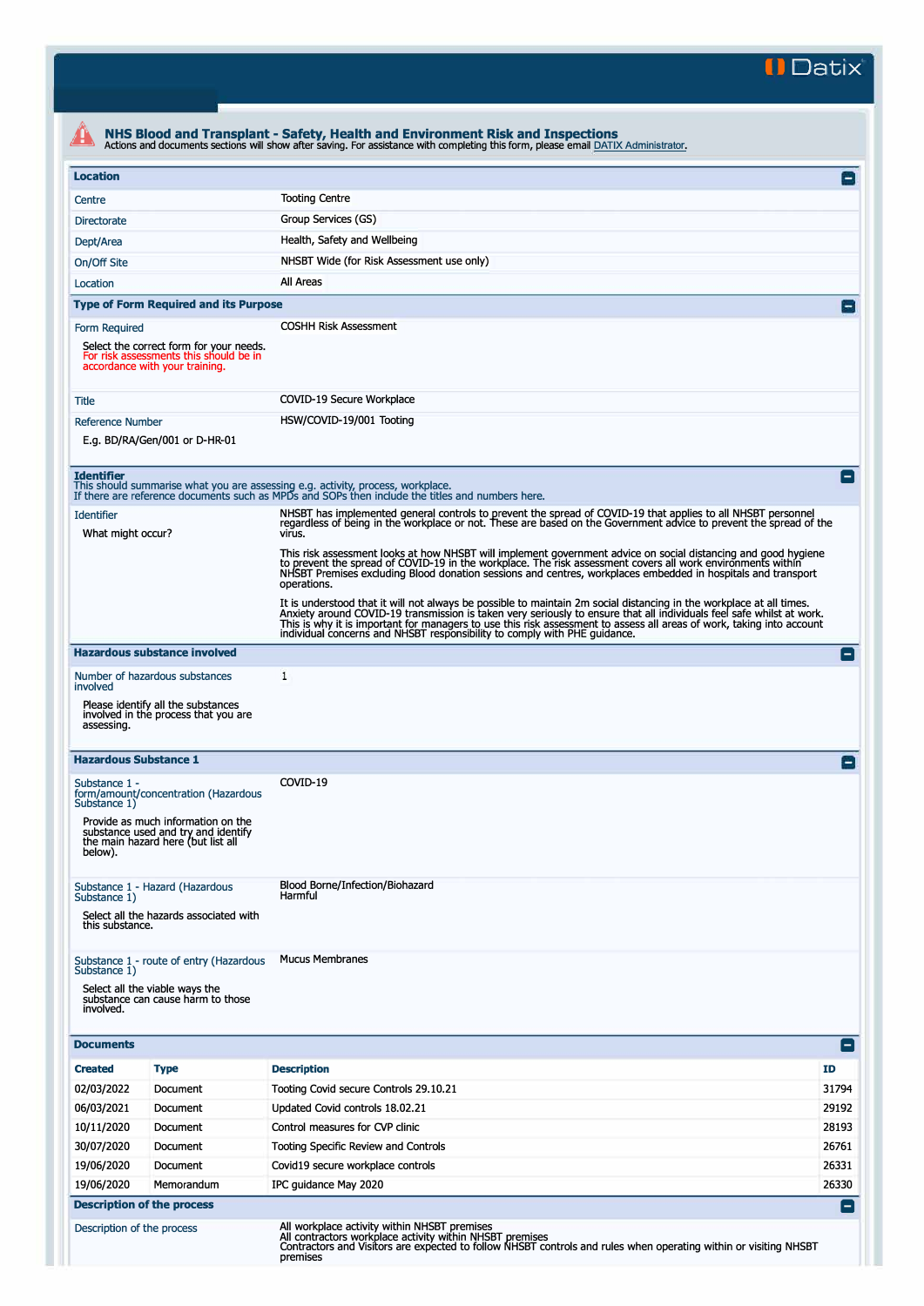**II Datix'** 

|                                                                                                                                                                                                                                                                        |                                                                                                                     | NHS Blood and Transplant - Safety, Health and Environment Risk and Inspections<br>Actions and documents sections will show after saving. For assistance with completing this form, please email DATIX Administrator.                                                                                                                                                                                                                                |                 |  |
|------------------------------------------------------------------------------------------------------------------------------------------------------------------------------------------------------------------------------------------------------------------------|---------------------------------------------------------------------------------------------------------------------|-----------------------------------------------------------------------------------------------------------------------------------------------------------------------------------------------------------------------------------------------------------------------------------------------------------------------------------------------------------------------------------------------------------------------------------------------------|-----------------|--|
| <b>Location</b>                                                                                                                                                                                                                                                        |                                                                                                                     |                                                                                                                                                                                                                                                                                                                                                                                                                                                     | Ξ               |  |
| Centre                                                                                                                                                                                                                                                                 |                                                                                                                     | <b>Tooting Centre</b>                                                                                                                                                                                                                                                                                                                                                                                                                               |                 |  |
| <b>Directorate</b>                                                                                                                                                                                                                                                     |                                                                                                                     | Group Services (GS)                                                                                                                                                                                                                                                                                                                                                                                                                                 |                 |  |
| Dept/Area                                                                                                                                                                                                                                                              |                                                                                                                     | Health, Safety and Wellbeing                                                                                                                                                                                                                                                                                                                                                                                                                        |                 |  |
| On/Off Site                                                                                                                                                                                                                                                            |                                                                                                                     | NHSBT Wide (for Risk Assessment use only)                                                                                                                                                                                                                                                                                                                                                                                                           |                 |  |
| Location                                                                                                                                                                                                                                                               |                                                                                                                     | All Areas                                                                                                                                                                                                                                                                                                                                                                                                                                           |                 |  |
|                                                                                                                                                                                                                                                                        | <b>Type of Form Required and its Purpose</b>                                                                        |                                                                                                                                                                                                                                                                                                                                                                                                                                                     |                 |  |
| Form Required                                                                                                                                                                                                                                                          |                                                                                                                     | <b>COSHH Risk Assessment</b>                                                                                                                                                                                                                                                                                                                                                                                                                        |                 |  |
|                                                                                                                                                                                                                                                                        | Select the correct form for your needs.<br>For risk assessments this should be in<br>accordance with your training. |                                                                                                                                                                                                                                                                                                                                                                                                                                                     |                 |  |
| Title                                                                                                                                                                                                                                                                  |                                                                                                                     | COVID-19 Secure Workplace                                                                                                                                                                                                                                                                                                                                                                                                                           |                 |  |
| <b>Reference Number</b>                                                                                                                                                                                                                                                |                                                                                                                     | HSW/COVID-19/001 Tooting                                                                                                                                                                                                                                                                                                                                                                                                                            |                 |  |
| E.g. BD/RA/Gen/001 or D-HR-01                                                                                                                                                                                                                                          |                                                                                                                     |                                                                                                                                                                                                                                                                                                                                                                                                                                                     |                 |  |
| <b>Identifier</b>                                                                                                                                                                                                                                                      |                                                                                                                     | This should summarise what you are assessing e.g. activity, process, workplace.<br>If there are reference documents such as MPDs and SOPs then include the titles and numbers here.                                                                                                                                                                                                                                                                 |                 |  |
| <b>Identifier</b><br>What might occur?                                                                                                                                                                                                                                 |                                                                                                                     | NHSBT has implemented general controls to prevent the spread of COVID-19 that applies to all NHSBT personnel<br>regardless of being in the workplace or not. These are based on the Government advice to prevent the spread of the<br>virus.                                                                                                                                                                                                        |                 |  |
|                                                                                                                                                                                                                                                                        |                                                                                                                     | This risk assessment looks at how NHSBT will implement government advice on social distancing and good hygiene<br>to prevent the spread of COVID-19 in the workplace. The risk assessment covers all work environments within<br>NHSBT Premises excluding Blood donation sessions and centres, workplaces embedded in hospitals and transport<br>operations.                                                                                        |                 |  |
|                                                                                                                                                                                                                                                                        |                                                                                                                     | It is understood that it will not always be possible to maintain 2m social distancing in the workplace at all times.<br>Anxiety around COVID-19 transmission is taken very seriously to ensure that all individuals feel safe whilst at work.<br>This is why it is important for managers to use this risk assessment to assess all areas of work, taking into account<br>individual concerns and NHSBT responsibility to comply with PHE guidance. |                 |  |
|                                                                                                                                                                                                                                                                        | <b>Hazardous substance involved</b>                                                                                 |                                                                                                                                                                                                                                                                                                                                                                                                                                                     | $\vert - \vert$ |  |
| involved                                                                                                                                                                                                                                                               | Number of hazardous substances                                                                                      | 1                                                                                                                                                                                                                                                                                                                                                                                                                                                   |                 |  |
| assessing.                                                                                                                                                                                                                                                             | Please identify all the substances<br>involved in the process that you are                                          |                                                                                                                                                                                                                                                                                                                                                                                                                                                     |                 |  |
| <b>Hazardous Substance 1</b>                                                                                                                                                                                                                                           |                                                                                                                     |                                                                                                                                                                                                                                                                                                                                                                                                                                                     |                 |  |
| Substance 1 -<br>Substance 1)                                                                                                                                                                                                                                          | form/amount/concentration (Hazardous                                                                                | COVID-19                                                                                                                                                                                                                                                                                                                                                                                                                                            |                 |  |
| below).                                                                                                                                                                                                                                                                | Provide as much information on the<br>substance used and try and identify<br>the main hazard here (but list all     |                                                                                                                                                                                                                                                                                                                                                                                                                                                     |                 |  |
| Substance 1 - Hazard (Hazardous<br>Substance 1)<br>Select all the hazards associated with<br>this substance.                                                                                                                                                           |                                                                                                                     | Blood Borne/Infection/Biohazard<br>Harmful                                                                                                                                                                                                                                                                                                                                                                                                          |                 |  |
| Substance 1)<br>involved.                                                                                                                                                                                                                                              | Substance 1 - route of entry (Hazardous<br>Select all the viable ways the<br>substance can cause harm to those      | <b>Mucus Membranes</b>                                                                                                                                                                                                                                                                                                                                                                                                                              |                 |  |
| <b>Documents</b>                                                                                                                                                                                                                                                       |                                                                                                                     |                                                                                                                                                                                                                                                                                                                                                                                                                                                     | $ - $           |  |
| <b>Created</b>                                                                                                                                                                                                                                                         | <b>Type</b>                                                                                                         | <b>Description</b>                                                                                                                                                                                                                                                                                                                                                                                                                                  | ID              |  |
| 02/03/2022                                                                                                                                                                                                                                                             | Document                                                                                                            | Tooting Covid secure Controls 29.10.21                                                                                                                                                                                                                                                                                                                                                                                                              | 31794           |  |
| 06/03/2021                                                                                                                                                                                                                                                             | Document                                                                                                            | Updated Covid controls 18.02.21                                                                                                                                                                                                                                                                                                                                                                                                                     | 29192           |  |
| 10/11/2020                                                                                                                                                                                                                                                             | Document                                                                                                            | Control measures for CVP clinic                                                                                                                                                                                                                                                                                                                                                                                                                     | 28193           |  |
| 30/07/2020                                                                                                                                                                                                                                                             | Document                                                                                                            | Tooting Specific Review and Controls                                                                                                                                                                                                                                                                                                                                                                                                                | 26761           |  |
| 19/06/2020                                                                                                                                                                                                                                                             | Document                                                                                                            | Covid19 secure workplace controls                                                                                                                                                                                                                                                                                                                                                                                                                   | 26331           |  |
| 19/06/2020                                                                                                                                                                                                                                                             | Memorandum                                                                                                          | IPC guidance May 2020                                                                                                                                                                                                                                                                                                                                                                                                                               | 26330           |  |
| <b>Description of the process</b>                                                                                                                                                                                                                                      |                                                                                                                     |                                                                                                                                                                                                                                                                                                                                                                                                                                                     | $\equiv$        |  |
| All workplace activity within NHSBT premises<br>Description of the process<br>All contractors workplace activity within NHSBT premises<br>Contractors and Visitors are expected to follow NHSBT controls and rules when operating within or visiting NHSBT<br>premises |                                                                                                                     |                                                                                                                                                                                                                                                                                                                                                                                                                                                     |                 |  |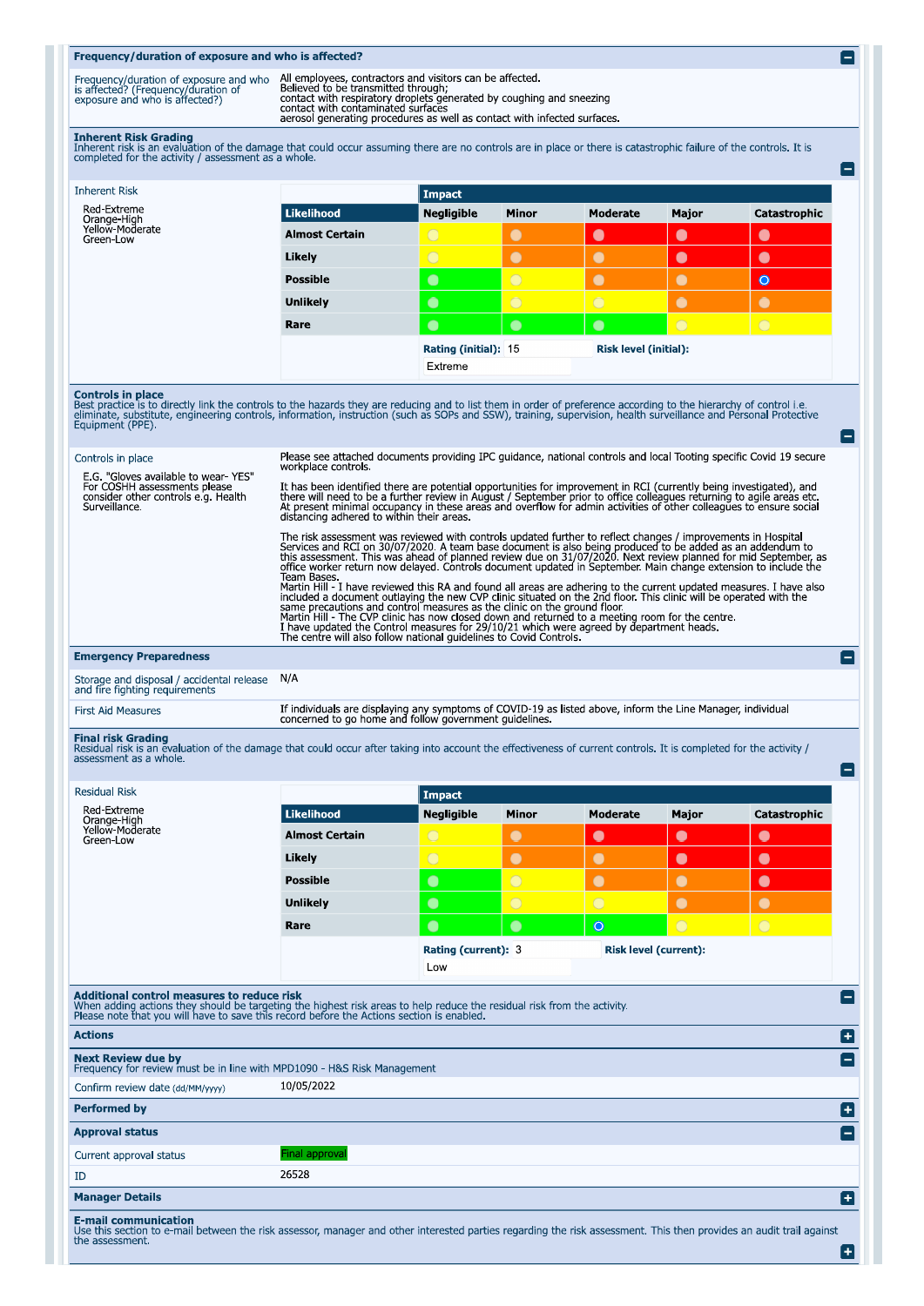## Frequency/duration of exposure and who is affected? All employees, contractors and visitors can be affected.<br>Believed to be transmitted through;<br>contact with respiratory droplets generated by coughing and sneezing<br>contact with contaminated surfaces<br>aerosol generating proced Frequency/duration of exposure and who<br>is affected? (Frequency/duration of<br>exposure and who is affected?) Inherent Risk Grading<br>Inherent risk is an evaluation of the damage that could occur assuming there are no controls are in place or there is catastrophic failure of the controls. It is<br>completed for the activity / assessmen E **Inherent Risk Impact** Red-Extreme Likelihood Moderate Catastrophic **Negligible** Minor Major Crange-High<br>Yellow-Moderate<br>Green-Low **Almost Certain**  $\bullet$  $\bullet$  $\bullet$ Likely  $\bullet$  $\bullet$  $\bullet$  $\bullet$ **Possible**  $\bullet$  $\bullet$  $\bullet$  $\bullet$ Unlikely  $\bullet$  $\bullet$  $\bullet$ Rare  $\bullet$  $\bullet$  $\bullet$ Rating (initial): 15 **Risk level (initial):** Extreme **Controls in place**<br>Best practice is to directly link the controls to the hazards they are reducing and to list them in order of preference according to the hierarchy of control i.e.<br>eliminate, substitute, engineering cont e Please see attached documents providing IPC guidance, national controls and local Tooting specific Covid 19 secure<br>workplace controls. Controls in place E.G. "Gloves available to wear- YES"<br>For COSHH assessments please<br>consider other controls e.g. Health<br>Surveillance. It has been identified there are potential opportunities for improvement in RCI (currently being investigated), and<br>there will need to be a further review in August / September prior to office colleagues returning to agile The risk assessment was reviewed with controls updated further to reflect changes / improvements in Hospital<br>Services and RCI on 30/07/2020. A team base document is also being produced to be added as an addendum to<br>this as office worker return now delayed. Controls document updated in separations with states section Bases. I have also including the new CVP clinic situation of the current updated measures. I have also included a document outl **Emergency Preparedness** e Storage and disposal / accidental release<br>and fire fighting requirements  $N/A$ If individuals are displaying any symptoms of COVID-19 as listed above, inform the Line Manager, individual concerned to go home and follow government guidelines. **First Aid Measures** Final risk Grading<br>Residual risk is an evaluation of the damage that could occur after taking into account the effectiveness of current controls. It is completed for the activity /<br>assessment as a whole. Ξ **Residual Risk Impact** Red-Extreme Likelihood **Negligible** Minor Moderate Major Catastrophic Orange-High<br>Yellow-Moderate **Almost Certain** С  $\bullet$  $\blacksquare$  $\bullet$ Green-Low Likely  $\bullet$  $\bullet$  $\bullet$  $\bullet$ **Possible**  $\bullet$  $\bullet$  $\bullet$  $\bullet$  $\bullet$  $\bullet$ **Unlikely**  $\bullet$  $\bullet$  $\bullet$ Rare  $\bullet$ Rating (current): 3 **Risk level (current):** Low Additional control measures to reduce risk<br>When adding actions they should be targeting the highest risk areas to help reduce the residual risk from the activity.<br>Please note that you will have to save this record before t [ \_] **Actions** o Next Review due by<br>Frequency for review must be in line with MPD1090 - H&S Risk Management  $\left[ -\right]$ 10/05/2022 Confirm review date (dd/MM/vvvv) **Performed by** n **Approval status Final approva** Current approval status 26528 **TD Manager Details** o E-mail communication<br>Use this section to e-mail between the risk assessor, manager and other interested parties regarding the risk assessment. This then provides an audit trail against<br>the assessment. Ð